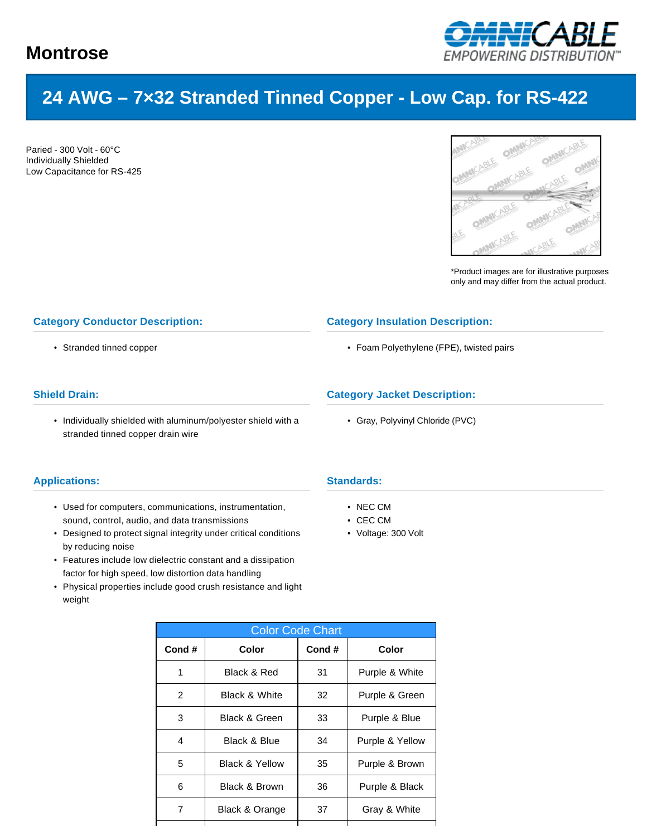

# **24 AWG – 7×32 Stranded Tinned Copper - Low Cap. for RS-422**

Paried - 300 Volt - 60°C Individually Shielded Low Capacitance for RS-425



\*Product images are for illustrative purposes only and may differ from the actual product.

# **Category Conductor Description:**

• Stranded tinned copper

# **Shield Drain:**

• Individually shielded with aluminum/polyester shield with a stranded tinned copper drain wire

### **Applications:**

- Used for computers, communications, instrumentation, sound, control, audio, and data transmissions
- Designed to protect signal integrity under critical conditions by reducing noise
- Features include low dielectric constant and a dissipation factor for high speed, low distortion data handling
- Physical properties include good crush resistance and light weight

# **Standards:**

- NEC CM
- CEC CM
- Voltage: 300 Volt

**Category Insulation Description:**

**Category Jacket Description:**

• Gray, Polyvinyl Chloride (PVC)

• Foam Polyethylene (FPE), twisted pairs

| <b>Color Code Chart</b> |                           |       |                 |  |  |  |  |  |
|-------------------------|---------------------------|-------|-----------------|--|--|--|--|--|
| Cond#                   | Color                     | Cond# | Color           |  |  |  |  |  |
| 1                       | Black & Red               | 31    | Purple & White  |  |  |  |  |  |
| $\overline{2}$          | <b>Black &amp; White</b>  | 32    | Purple & Green  |  |  |  |  |  |
| 3                       | <b>Black &amp; Green</b>  | 33    | Purple & Blue   |  |  |  |  |  |
| 4                       | Black & Blue              | 34    | Purple & Yellow |  |  |  |  |  |
| 5                       | <b>Black &amp; Yellow</b> | 35    | Purple & Brown  |  |  |  |  |  |
| 6                       | Black & Brown             | 36    | Purple & Black  |  |  |  |  |  |
| 7                       | Black & Orange            | 37    | Gray & White    |  |  |  |  |  |
|                         |                           |       |                 |  |  |  |  |  |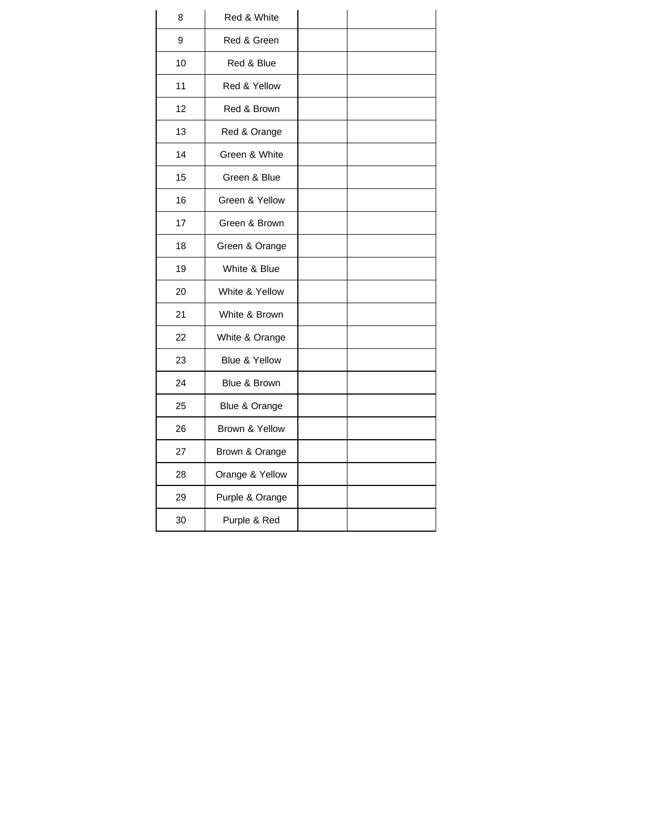| 8  | Red & White     |  |
|----|-----------------|--|
| 9  | Red & Green     |  |
| 10 | Red & Blue      |  |
| 11 | Red & Yellow    |  |
| 12 | Red & Brown     |  |
| 13 | Red & Orange    |  |
| 14 | Green & White   |  |
| 15 | Green & Blue    |  |
| 16 | Green & Yellow  |  |
| 17 | Green & Brown   |  |
| 18 | Green & Orange  |  |
| 19 | White & Blue    |  |
| 20 | White & Yellow  |  |
| 21 | White & Brown   |  |
| 22 | White & Orange  |  |
| 23 | Blue & Yellow   |  |
| 24 | Blue & Brown    |  |
| 25 | Blue & Orange   |  |
| 26 | Brown & Yellow  |  |
| 27 | Brown & Orange  |  |
| 28 | Orange & Yellow |  |
| 29 | Purple & Orange |  |
| 30 | Purple & Red    |  |